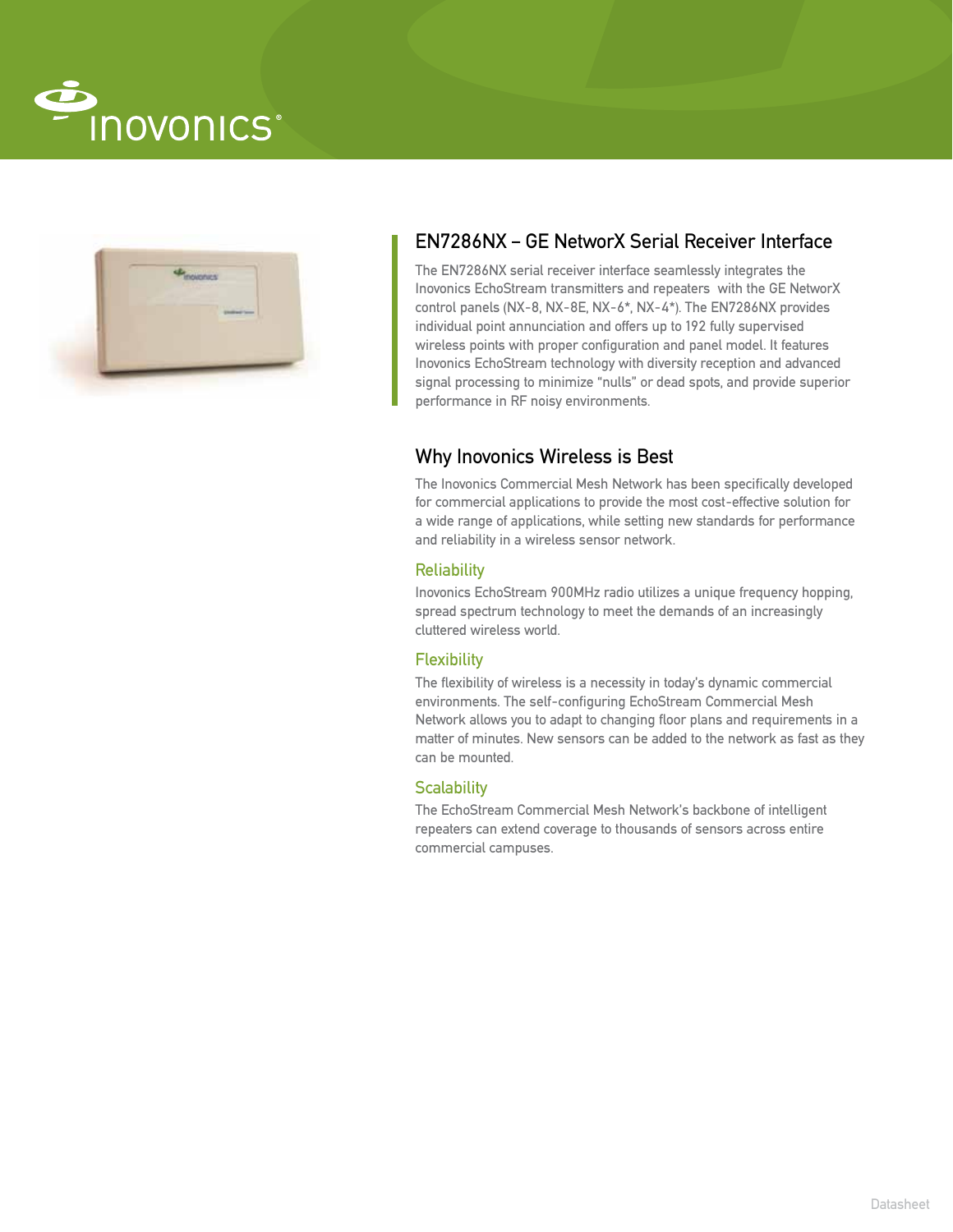



# EN7286NX – GE NetworX Serial Receiver Interface

The EN7286NX serial receiver interface seamlessly integrates the Inovonics EchoStream transmitters and repeaters with the GE NetworX control panels (NX-8, NX-8E, NX-6\*, NX-4\*). The EN7286NX provides individual point annunciation and offers up to 192 fully supervised wireless points with proper configuration and panel model. It features Inovonics EchoStream technology with diversity reception and advanced signal processing to minimize "nulls" or dead spots, and provide superior performance in RF noisy environments.

## Why Inovonics Wireless is Best

The Inovonics Commercial Mesh Network has been specifically developed for commercial applications to provide the most cost-effective solution for a wide range of applications, while setting new standards for performance and reliability in a wireless sensor network.

### Reliability

Inovonics EchoStream 900MHz radio utilizes a unique frequency hopping, spread spectrum technology to meet the demands of an increasingly cluttered wireless world.

## **Flexibility**

The flexibility of wireless is a necessity in today's dynamic commercial environments. The self-configuring EchoStream Commercial Mesh Network allows you to adapt to changing floor plans and requirements in a matter of minutes. New sensors can be added to the network as fast as they can be mounted.

#### **Scalability**

The EchoStream Commercial Mesh Network's backbone of intelligent repeaters can extend coverage to thousands of sensors across entire commercial campuses.